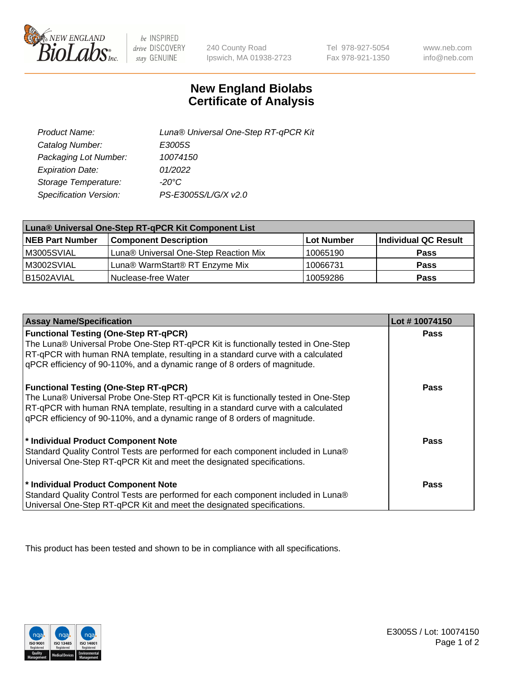

 $be$  INSPIRED drive DISCOVERY stay GENUINE

240 County Road Ipswich, MA 01938-2723

Tel 978-927-5054 Fax 978-921-1350

www.neb.com info@neb.com

## **New England Biolabs Certificate of Analysis**

| Product Name:           | Luna® Universal One-Step RT-qPCR Kit |
|-------------------------|--------------------------------------|
| Catalog Number:         | E3005S                               |
| Packaging Lot Number:   | 10074150                             |
| <b>Expiration Date:</b> | 01/2022                              |
| Storage Temperature:    | $-20^{\circ}$ C                      |
| Specification Version:  | PS-E3005S/L/G/X v2.0                 |

| Luna® Universal One-Step RT-qPCR Kit Component List |                                       |            |                      |
|-----------------------------------------------------|---------------------------------------|------------|----------------------|
| <b>NEB Part Number</b>                              | <b>Component Description</b>          | Lot Number | Individual QC Result |
| M3005SVIAL                                          | Luna® Universal One-Step Reaction Mix | 10065190   | <b>Pass</b>          |
| M3002SVIAL                                          | Luna® WarmStart® RT Enzyme Mix        | 10066731   | <b>Pass</b>          |
| B1502AVIAL                                          | <i><b>Nuclease-free Water</b></i>     | 10059286   | <b>Pass</b>          |

| <b>Assay Name/Specification</b>                                                                                                                                                                                                                                                                    | Lot #10074150 |
|----------------------------------------------------------------------------------------------------------------------------------------------------------------------------------------------------------------------------------------------------------------------------------------------------|---------------|
| <b>Functional Testing (One-Step RT-qPCR)</b><br>The Luna® Universal Probe One-Step RT-qPCR Kit is functionally tested in One-Step<br>RT-qPCR with human RNA template, resulting in a standard curve with a calculated                                                                              | <b>Pass</b>   |
| gPCR efficiency of 90-110%, and a dynamic range of 8 orders of magnitude.<br><b>Functional Testing (One-Step RT-qPCR)</b><br>The Luna® Universal Probe One-Step RT-qPCR Kit is functionally tested in One-Step<br>RT-qPCR with human RNA template, resulting in a standard curve with a calculated | Pass          |
| qPCR efficiency of 90-110%, and a dynamic range of 8 orders of magnitude.<br>* Individual Product Component Note                                                                                                                                                                                   | Pass          |
| Standard Quality Control Tests are performed for each component included in Luna®<br>Universal One-Step RT-qPCR Kit and meet the designated specifications.                                                                                                                                        |               |
| * Individual Product Component Note<br>Standard Quality Control Tests are performed for each component included in Luna®<br>Universal One-Step RT-qPCR Kit and meet the designated specifications.                                                                                                 | <b>Pass</b>   |

This product has been tested and shown to be in compliance with all specifications.